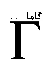## 66

## شماره ی ۲۰، پاییز ۱۳۸۷

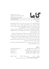$L_0$ 

**ISSN 1735.1286** 

www.gammajournal.ir

## به نام خدا

• گاما فصل نامه ای است به زبان په فارسی، در باره ی ِ فیزیک. آن چه در گاما منتشر می شود بیش تر مقالهها ی ِ آموزشی، در زمینه ی ِ فرهنگ یا تاریخ ِ ِ فیزیک، یا در مورد ِ مسائل ِ فیزیک در ایران است، و قرار است جنبه ی ِ آموزشی و فرهنگی داشته باشد و برای دانشجویان ِ فیزیک یا دانش آموخته گان \_ فیزیک ، یا دستِکم بخش ی از آنها قابلاستفاده باشد. • مقالههای گاما نوعاً تألیفی اند. سعی بر این است که فقط مقالهها ی ِ کلاسیک ِ فیزیک، و نوشتهها ی ِ فیزیکپیشهها ی ِ بزرگ ترجمه شود. اگر می خواهید چیز ی را ترجمه کنید، لطفاً اول با هیئت \_ ویراستاران تماس بگیرید. • برا ی ِ تماس با گاما، و از جمله فرستادن ِ مقاله، لطفاً با یک ی از ویراستاران ِ گاما تماس بگیرید. • پذیرش ِ مقاله با هیئت ِ ویراستاران و بر اساس ِ روش ِ متداول ِ داوری توسّط ِ داور ِ ناشناس است. هیئت <sub>-</sub> ویراستاران یا مقاله را میپذیرد، یا رد میکند، امّا هرگز در نوشته ی ِ نویسنده دخل و تصرّف ی نمیکند. اگر به نظر ِ داور تغییر ی در مقاله لازم باشد، اعمال ِ این تغییر با خود ِ نویسنده(ها) است. • مقاله ی پذیرفته شده، پیش از چاپ، بر اساس به آخرین نسخه ای که نویسنده فرستاده حروفچینی می شود و پس از تأیید \_ نویسنده است که چاپ می شود. • © تمام ِ حقوق ِ مادّي و معنوي ي ِ آن چه در گاما منتشر ميشود متعلق است به گاما، مگر در موارد ی که صراحتاً مشخّص شده باشد.

|                           | ويراستاران:                                        |
|---------------------------|----------------------------------------------------|
| a_aghamohammadi@yahoo.com | • امير ِ آقامحمّدى، دانشگاه ِ الزّهرا، تهران       |
| shariati@mailaps.org      | • احمد ِ شریعتی (سردبیر)، دانشگاه ِ الزّهرا، تهران |
| ashafie@ipm.ir            | • عزیزاله ِ شفیعِخانی، دانشگاه ِ الزّهرا، تهران    |
| ahfatol@gmail.com         | • امیرحسین ِ فتحاللهی، دانشگاه ِ الزّهرا، تهران    |

تاریخ \_ انتشار ١٣٨٧/١٢/١٥ شمارگان : ۱۰۰۰ نسخه  $^1$ قيمت ٥٥٥ تومان. <sup>1</sup> ليتوگرافي، چاپ، و صحافي: سازمان چاپ و انتشارات وزارت فرهنگ و ارشاد اسلامي.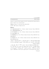www.gammajournal.ir

**ISSN 1735.1286** 

Gamma is a quarterly Persian magazine, devoted to educational and cultural articles in physics. Gamma is not a research journal.

Address: Gamma, P. O. Box 633, Tehran 19935, IRAN.

 $\circ$  2004 - 2008, Gamma, all rights reserved.

## Editors

• A. Aghamohammadi Prof. of Physics, Alzahra University, Tehran 19938-91167, Iran. a\_aghamohammadi@yahoo.com

• A. H. Fatollahi Asoc. Prof. of Physics, Alzahra University, Tehran 19938-91167, Iran. ahfatol@gmail.com

• A. Shafikhani Asoc. Prof. of Physics, Alzahra University, Tehran 19938-91167, Iran. ashafie@ipm.ir

• A. Shariati Asoc. Prof. of Physics, Alzahra University, Tehran 19938-91167, Iran. shariati@mailaps.org

اشتراک (جهار شماره) عادّی ۲۰۰۰ تومان، دانش جویبر ۴۰۰۰ تومان، مؤسسهها ۸۰۰۰ تومان اشتراک با یُست ِ عادّی است. برا ی ِ اشتراک با پُست ِ سفارشی، یا خارج از ایران، با یک ی از وبراستاران تماس بگیرید.

برا ی ِ اشتراک، پول ِ اشتراک را به حساب ِ شماره ی ِ ۲۳۷۹ ه ۸۰، بانک ِ ملّی، شعبه ی دانش گاه رالّزهرا (کدل ۲۲۱) به نام راجمد شریعتی، بریزید. اصل روسید ریانک را بیش رخود نگه دارید، و این اطلاعات ِ را برای ی ِ ما بفرستید: ۱) اسم ِ واریزکننده، ۲) تاریخ ِ واریز کردن، ۳) مقدار \_ یول ی که واریز شده است، ۴) اسم و نشانبی ی ِ کامل \_ گیرنده ی ِ مجله (لطفاً کد \_ پستبی را هم بنويسيد).